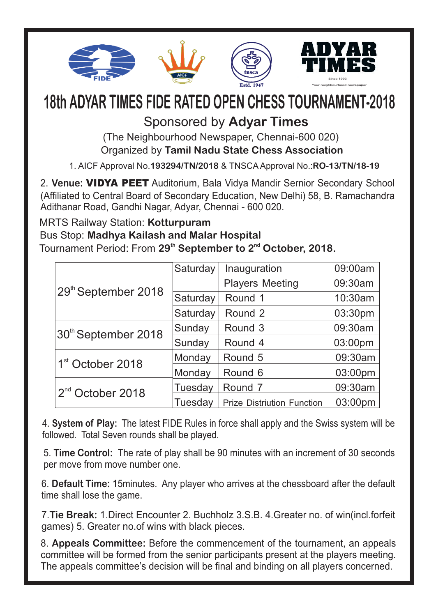

# **18th ADYAR TIMES FIDE RATED OPEN CHESS TOURNAMENT-2018**

Sponsored by **Adyar Times**

(The Neighbourhood Newspaper, Chennai-600 020)

Organized by **Tamil Nadu State Chess Association**

1. AICF Approval No.**193294/TN/2018** & TNSCA Approval No.:**RO-13/TN/18-19**

2. **Venue:** VIDYA PEET Auditorium, Bala Vidya Mandir Sernior Secondary School (Affiliated to Central Board of Secondary Education, New Delhi) 58, B. Ramachandra Adithanar Road, Gandhi Nagar, Adyar, Chennai - 600 020.

#### MRTS Railway Station: **Kotturpuram**

#### Bus Stop: **Madhya Kailash and Malar Hospital**

Tournament Period: From 29<sup>th</sup> September to 2<sup>nd</sup> October, 2018.

| 29th September 2018          | Saturday | Inauguration                      | 09:00am |
|------------------------------|----------|-----------------------------------|---------|
|                              |          | <b>Players Meeting</b>            | 09:30am |
|                              | Saturday | Round 1                           | 10:30am |
|                              | Saturday | Round 2                           | 03:30pm |
| 30th September 2018          | Sunday   | Round 3                           | 09:30am |
|                              | Sunday   | Round 4                           | 03:00pm |
| 1 <sup>st</sup> October 2018 | Monday   | Round 5                           | 09:30am |
|                              | Monday   | Round 6                           | 03:00pm |
| 2 <sup>nd</sup> October 2018 | Tuesday  | Round 7                           | 09:30am |
|                              | Tuesday  | <b>Prize Distriution Function</b> | 03:00pm |

4. **System of Play:** The latest FIDE Rules in force shall apply and the Swiss system will be followed. Total Seven rounds shall be played.

5. **Time Control:** The rate of play shall be 90 minutes with an increment of 30 seconds per move from move number one.

6. **Default Time:** 15minutes. Any player who arrives at the chessboard after the default time shall lose the game.

7.**Tie Break:** 1.Direct Encounter 2. Buchholz 3.S.B. 4.Greater no. of win(incl.forfeit games) 5. Greater no.of wins with black pieces.

8. **Appeals Committee:** Before the commencement of the tournament, an appeals committee will be formed from the senior participants present at the players meeting. The appeals committee's decision will be final and binding on all players concerned.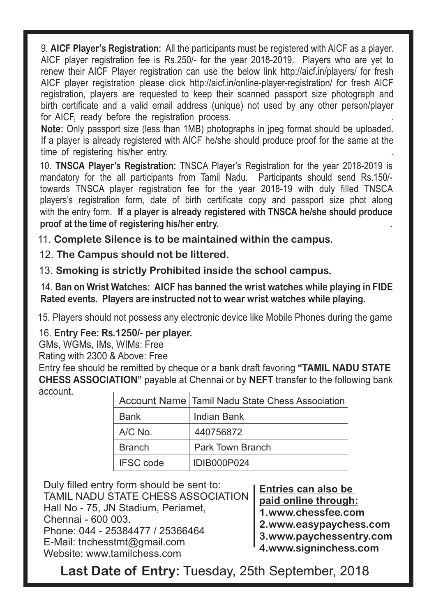9. **AICF Player's Registration:** All the participants must be registered with AICF as a player. AICF player registration fee is Rs.250/- for the year 2018-2019. Players who are yet to renew their AICF Player registration can use the below link http://aicf.in/players/ for fresh AICF player registration please click http://aicf.in/online-player-registration/ for fresh AICF registration, players are requested to keep their scanned passport size photograph and birth certificate and a valid email address (unique) not used by any other person/player for AICF, ready before the registration process.

**Note:** Only passport size (less than 1MB) photographs in jpeg format should be uploaded. If a player is already registered with AICF he/she should produce proof for the same at the time of registering his/her entry.

10. **TNSCA Player's Registration:** TNSCA Player's Registration for the year 2018-2019 is mandatory for the all participants from Tamil Nadu. Participants should send Rs.150/ towards TNSCA player registration fee for the year 2018-19 with duly filled TNSCA players's registration form, date of birth certificate copy and passport size phot along with the entry form. **If a player is already registered with TNSCA he/she should produce proof at the time of registering his/her entry. .**

11. **Complete Silence is to be maintained within the campus.**

12. **The Campus should not be littered.**

13. **Smoking is strictly Prohibited inside the school campus.**

14. **Ban on Wrist Watches: AICF has banned the wrist watches while playing in FIDE Rated events. Players are instructed not to wear wrist watches while playing.**

15. Players should not possess any electronic device like Mobile Phones during the game

16. **Entry Fee: Rs.1250/- per player.**

GMs, WGMs, IMs, WIMs: Free

Rating with 2300 & Above: Free

Entry fee should be remitted by cheque or a bank draft favoring **"TAMIL NADU STATE CHESS ASSOCIATION"** payable at Chennai or by **NEFT** transfer to the following bank account.

|                  | Account Name   Tamil Nadu State Chess Association |
|------------------|---------------------------------------------------|
| <b>Bank</b>      | Indian Bank                                       |
| A/C No.          | 440756872                                         |
| <b>Branch</b>    | <b>Park Town Branch</b>                           |
| <b>IFSC</b> code | <b>IDIB000P024</b>                                |

Duly filled entry form should be sent to: TAMIL NADU STATE CHESS ASSOCIATION Hall No - 75, JN Stadium, Periamet, Chennai - 600 003. Phone: 044 - 25384477 / 25366464 E-Mail: tnchesstmt@gmail.com Website: www.tamilchess.com

**Entries can also be paid online through: 1.www.chessfee.com**

**2.www.easypaychess.com**

**3.www.paychessentry.com**

**4.www.signinchess.com**

**Last Date of Entry:** Tuesday, 25th September, 2018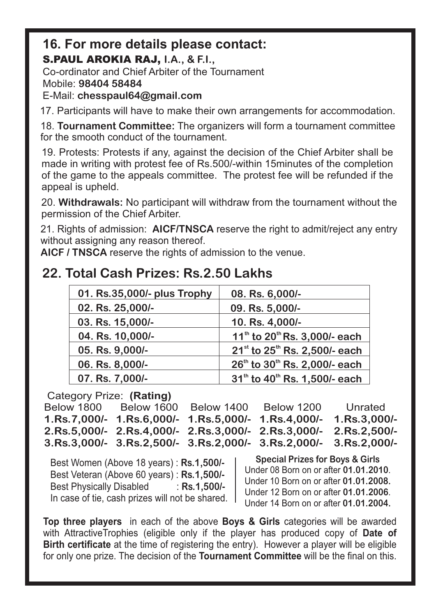#### **16. For more details please contact:** S.PAUL AROKIA RAJ, **I.A., & F.I.,**

Co-ordinator and Chief Arbiter of the Tournament

Mobile: **98404 58484**

E-Mail: **chesspaul64@gmail.com**

17. Participants will have to make their own arrangements for accommodation.

18. **Tournament Committee:** The organizers will form a tournament committee for the smooth conduct of the tournament.

19. Protests: Protests if any, against the decision of the Chief Arbiter shall be made in writing with protest fee of Rs.500/-within 15minutes of the completion of the game to the appeals committee. The protest fee will be refunded if the appeal is upheld.

20. **Withdrawals:** No participant will withdraw from the tournament without the permission of the Chief Arbiter.

21. Rights of admission: **AICF/TNSCA** reserve the right to admit/reject any entry without assigning any reason thereof.

**AICF / TNSCA** reserve the rights of admission to the venue.

## **22. Total Cash Prizes: Rs.2.50 Lakhs**

| 01. Rs. 35,000/- plus Trophy | 08. Rs. 6,000/-                                       |
|------------------------------|-------------------------------------------------------|
| 02. Rs. 25,000/-             | 09. Rs. 5,000/-                                       |
| 03. Rs. 15,000/-             | 10. Rs. 4,000/-                                       |
| 04. Rs. 10,000/-             | 11 <sup>th</sup> to 20 <sup>th</sup> Rs. 3,000/- each |
| 05. Rs. 9,000/-              | $21^{st}$ to $25^{th}$ Rs. 2,500/- each               |
| 06. Rs. 8,000/-              | 26 <sup>th</sup> to 30 <sup>th</sup> Rs. 2,000/- each |
| 07. Rs. 7,000/-              | 31 <sup>th</sup> to 40 <sup>th</sup> Rs. 1,500/- each |

Category Prize: **(Rating)**

Below 1800 Below 1600 Below 1400 Below 1200 Unrated **1.Rs.7,000/- 1.Rs.6,000/- 1.Rs.5,000/- 1.Rs.4,000/- 1.Rs.3,000/- 2.Rs.5,000/- 2.Rs.4,000/- 2.Rs.3,000/- 2.Rs.3,000/- 2.Rs.2,500/- 3.Rs.3,000/- 3.Rs.2,500/- 3.Rs.2,000/- 3.Rs.2,000/- 3.Rs.2,000/-**

Best Women (Above 18 years) : **Rs.1,500/-** Best Veteran (Above 60 years) : **Rs.1,500/-** Best Physically Disabled : **Rs.1,500/-** In case of tie, cash prizes will not be shared.

**Special Prizes for Boys & Girls** Under 08 Born on or after **01.01.2010**. Under 10 Born on or after **01.01.2008.** Under 12 Born on or after **01.01.2006**. Under 14 Born on or after **01.01.2004.**

**Top three players** in each of the above **Boys & Girls** categories will be awarded with AttractiveTrophies (eligible only if the player has produced copy of **Date of Birth certificate** at the time of registering the entry). However a player will be eligible for only one prize. The decision of the **Tournament Committee** will be the final on this.